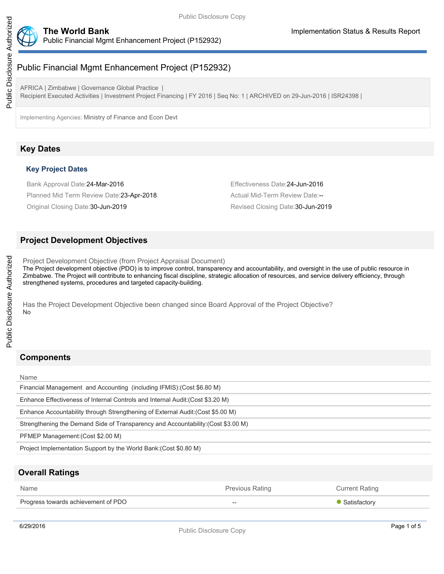



# Public Financial Mgmt Enhancement Project (P152932)

AFRICA | Zimbabwe | Governance Global Practice | Recipient Executed Activities | Investment Project Financing | FY 2016 | Seq No: 1 | ARCHIVED on 29-Jun-2016 | ISR24398 |

Implementing Agencies: Ministry of Finance and Econ Devt

# **Key Dates**

### **Key Project Dates**

Bank Approval Date:24-Mar-2016 Effectiveness Date:24-Jun-2016 Planned Mid Term Review Date: 23-Apr-2018 Actual Mid-Term Review Date:--

Original Closing Date:30-Jun-2019 Revised Closing Date:30-Jun-2019

# **Project Development Objectives**

Project Development Objective (from Project Appraisal Document) The Project development objective (PDO) is to improve control, transparency and accountability, and oversight in the use of public resource in Zimbabwe. The Project will contribute to enhancing fiscal discipline, strategic allocation of resources, and service delivery efficiency, through strengthened systems, procedures and targeted capacity-building.

Has the Project Development Objective been changed since Board Approval of the Project Objective? No

# **Components**

#### Name

Public Disclosure Authorized

Public Disclosure Authorized

Financial Management and Accounting (including IFMIS):(Cost \$6.80 M)

Enhance Effectiveness of Internal Controls and Internal Audit:(Cost \$3.20 M)

Enhance Accountability through Strengthening of External Audit:(Cost \$5.00 M)

Strengthening the Demand Side of Transparency and Accountability:(Cost \$3.00 M)

PFMEP Management:(Cost \$2.00 M)

Project Implementation Support by the World Bank:(Cost \$0.80 M)

# **Overall Ratings**

| Name                                | <b>Previous Rating</b> | Current Rating |
|-------------------------------------|------------------------|----------------|
| Progress towards achievement of PDO | $- -$                  | • Satisfactory |
|                                     |                        |                |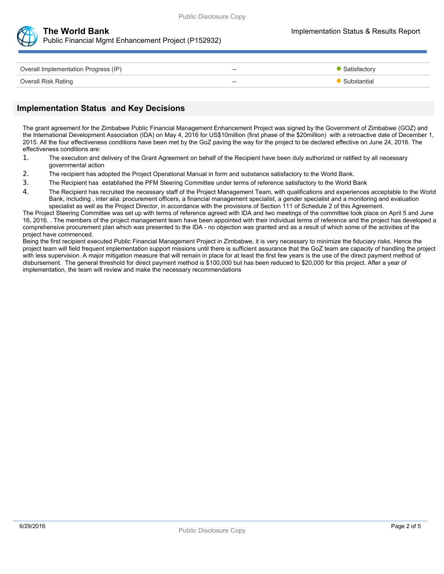



Public Financial Mgmt Enhancement Project (P152932)

| Overall Implementation Progress (IP) | $- -$ | Satisfactory |
|--------------------------------------|-------|--------------|
| <b>Overall Risk Rating</b>           | $- -$ | Substantial  |

## **Implementation Status and Key Decisions**

The grant agreement for the Zimbabwe Public Financial Management Enhancement Project was signed by the Government of Zimbabwe (GOZ) and the International Development Association (IDA) on May 4, 2016 for US\$10million (first phase of the \$20million) with a retroactive date of December 1, 2015. All the four effectiveness conditions have been met by the GoZ paving the way for the project to be declared effective on June 24, 2016. The effectiveness conditions are:

- 1. The execution and delivery of the Grant Agreement on behalf of the Recipient have been duly authorized or ratified by all necessary governmental action
- 2. The recipient has adopted the Project Operational Manual in form and substance satisfactory to the World Bank.
- 3. The Recipient has established the PFM Steering Committee under terms of reference satisfactory to the World Bank
- 4. The Recipient has recruited the necessary staff of the Project Management Team, with qualifications and experiences acceptable to the World Bank, including , inter alia: procurement officers, a financial management specialist, a gender specialist and a monitoring and evaluation specialist as well as the Project Director, in accordance with the provisions of Section 111 of Schedule 2 of this Agreement.

The Project Steering Committee was set up with terms of reference agreed with IDA and two meetings of the committee took place on April 5 and June 16, 2016. . The members of the project management team have been appointed with their individual terms of reference and the project has developed a comprehensive procurement plan which was presented to the IDA - no objection was granted and as a result of which some of the activities of the project have commenced.

Being the first recipient executed Public Financial Management Project in Zimbabwe, it is very necessary to minimize the fiduciary risks. Hence the project team will field frequent implementation support missions until there is sufficient assurance that the GoZ team are capacity of handling the project with less supervision. A major mitigation measure that will remain in place for at least the first few years is the use of the direct payment method of disbursement. The general threshold for direct payment method is \$100,000 but has been reduced to \$20,000 for this project. After a year of implementation, the team will review and make the necessary recommendations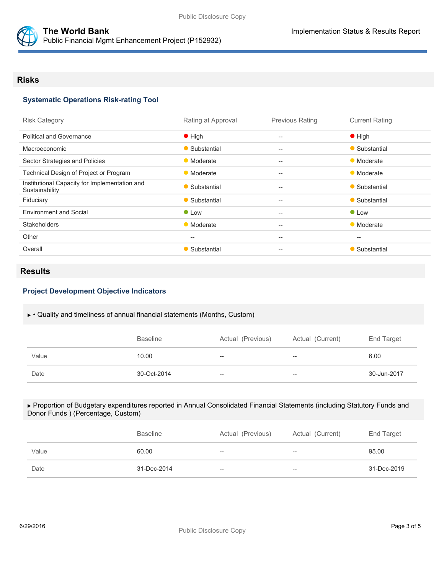

## **Systematic Operations Risk-rating Tool**

Public Financial Mgmt Enhancement Project (P152932)

| Rating at Approval | <b>Previous Rating</b>                              | <b>Current Rating</b>                               |
|--------------------|-----------------------------------------------------|-----------------------------------------------------|
| $\bullet$ High     | $\qquad \qquad -$                                   | $\bullet$ High                                      |
| • Substantial      | $-$                                                 | • Substantial                                       |
| • Moderate         | $-$                                                 | • Moderate                                          |
| • Moderate         | $-$                                                 | • Moderate                                          |
| • Substantial      | $\hspace{0.05cm} -\hspace{0.05cm} -\hspace{0.05cm}$ | • Substantial                                       |
| • Substantial      | $\overline{\phantom{m}}$                            | • Substantial                                       |
| $\bullet$ Low      | $-$                                                 | $\bullet$ Low                                       |
| • Moderate         | $-$                                                 | • Moderate                                          |
| $--$               | $-$                                                 | $\hspace{0.05cm} -\hspace{0.05cm} -\hspace{0.05cm}$ |
| • Substantial      | $-$                                                 | Substantial                                         |
|                    |                                                     |                                                     |

## **Results**

## **Project Development Objective Indicators**

#### • Quality and timeliness of annual financial statements (Months, Custom)

|       | <b>Baseline</b> | Actual (Previous) | Actual (Current)         | End Target  |
|-------|-----------------|-------------------|--------------------------|-------------|
| Value | 10.00           | $- -$             | $\overline{\phantom{a}}$ | 6.00        |
| Date  | 30-Oct-2014     | $- -$             | $\hspace{0.05cm}$        | 30-Jun-2017 |

#### Proportion of Budgetary expenditures reported in Annual Consolidated Financial Statements (including Statutory Funds and Donor Funds ) (Percentage, Custom)

|       | <b>Baseline</b> | Actual (Previous) | Actual (Current) | End Target  |
|-------|-----------------|-------------------|------------------|-------------|
| Value | 60.00           | $- -$             | $- -$            | 95.00       |
| Date  | 31-Dec-2014     | $- -$             | $- -$            | 31-Dec-2019 |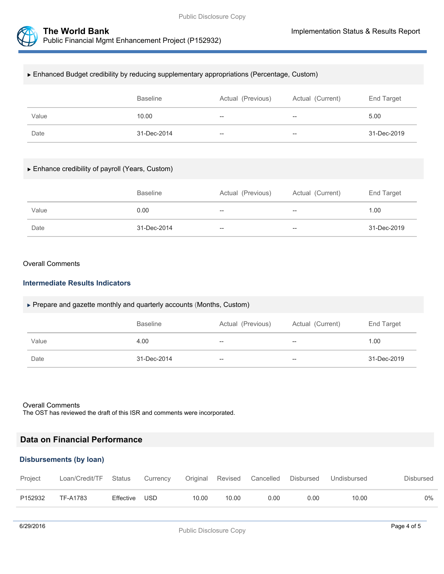



#### Enhanced Budget credibility by reducing supplementary appropriations (Percentage, Custom)

|       | <b>Baseline</b> | Actual (Previous) | Actual (Current)         | End Target  |
|-------|-----------------|-------------------|--------------------------|-------------|
| Value | 10.00           | $- -$             | $- -$                    | 5.00        |
| Date  | 31-Dec-2014     | $- -$             | $\overline{\phantom{a}}$ | 31-Dec-2019 |

#### Enhance credibility of payroll (Years, Custom)

|       | <b>Baseline</b> | Actual (Previous) | Actual (Current)         | End Target  |
|-------|-----------------|-------------------|--------------------------|-------------|
| Value | 0.00            | $- -$             | $\overline{\phantom{a}}$ | 1.00        |
| Date  | 31-Dec-2014     | $- -$             | --                       | 31-Dec-2019 |

#### Overall Comments

#### **Intermediate Results Indicators**

#### ▶ Prepare and gazette monthly and quarterly accounts (Months, Custom)

|       | <b>Baseline</b> | Actual (Previous) | Actual (Current) | End Target  |
|-------|-----------------|-------------------|------------------|-------------|
| Value | 4.00            | $-$               | --               | 1.00        |
| Date  | 31-Dec-2014     | $-$               | --               | 31-Dec-2019 |

#### Overall Comments

The OST has reviewed the draft of this ISR and comments were incorporated.

# **Data on Financial Performance**

### **Disbursements (by loan)**

| Project | Loan/Credit/TF Status |           | Currency |       |       | Original Revised Cancelled | Disbursed | Undisbursed | Disbursed |
|---------|-----------------------|-----------|----------|-------|-------|----------------------------|-----------|-------------|-----------|
| P152932 | TF-A1783              | Effective | USD      | 10.00 | 10.00 | 0.00                       | 0.00      | 10.00       | $0\%$     |